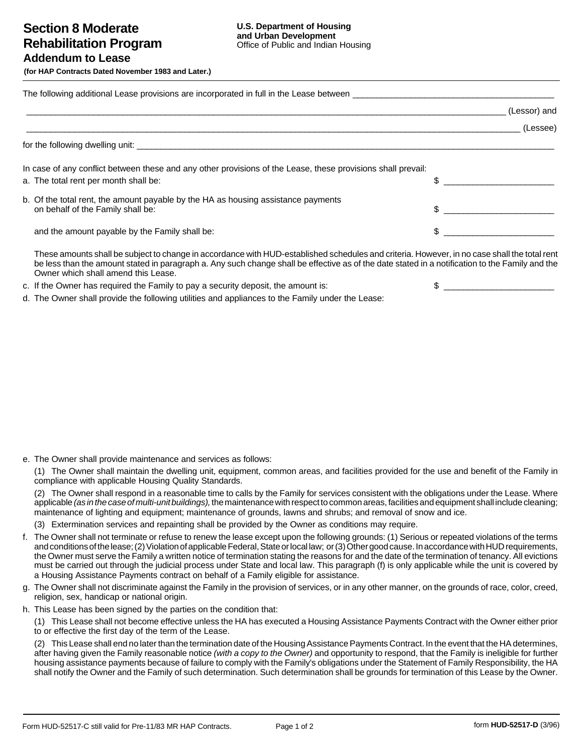**(for HAP Contracts Dated November 1983 and Later.)**

|                                                                                                                                                       | (Lessor) and |
|-------------------------------------------------------------------------------------------------------------------------------------------------------|--------------|
|                                                                                                                                                       | (Lessee)     |
|                                                                                                                                                       |              |
| In case of any conflict between these and any other provisions of the Lease, these provisions shall prevail:<br>a. The total rent per month shall be: |              |
| b. Of the total rent, the amount payable by the HA as housing assistance payments<br>on behalf of the Family shall be:                                | $\mathbb{S}$ |
| and the amount payable by the Family shall be:                                                                                                        |              |
| These amounte aboll be subject to change in accordance with UUD, established schoolules and exiteria. However, in no case aboll the total resul       |              |

These amounts shall be subject to change in accordance with HUD-established schedules and criteria. However, in no case shall the total rent be less than the amount stated in paragraph a. Any such change shall be effective as of the date stated in a notification to the Family and the Owner which shall amend this Lease.

c. If the Owner has required the Family to pay a security deposit, the amount is:  $\qquad \qquad$   $\qquad \qquad$ 

d. The Owner shall provide the following utilities and appliances to the Family under the Lease:

e. The Owner shall provide maintenance and services as follows:

(1) The Owner shall maintain the dwelling unit, equipment, common areas, and facilities provided for the use and benefit of the Family in compliance with applicable Housing Quality Standards.

(2) The Owner shall respond in a reasonable time to calls by the Family for services consistent with the obligations under the Lease. Where applicable (as in the case of multi-unit buildings), the maintenance with respect to common areas, facilities and equipment shall include cleaning; maintenance of lighting and equipment; maintenance of grounds, lawns and shrubs; and removal of snow and ice.

(3) Extermination services and repainting shall be provided by the Owner as conditions may require.

- f. The Owner shall not terminate or refuse to renew the lease except upon the following grounds: (1) Serious or repeated violations of the terms and conditions of the lease; (2) Violation of applicable Federal, State or local law; or (3) Other good cause. In accordance with HUD requirements, the Owner must serve the Family a written notice of termination stating the reasons for and the date of the termination of tenancy. All evictions must be carried out through the judicial process under State and local law. This paragraph (f) is only applicable while the unit is covered by a Housing Assistance Payments contract on behalf of a Family eligible for assistance.
- g. The Owner shall not discriminate against the Family in the provision of services, or in any other manner, on the grounds of race, color, creed, religion, sex, handicap or national origin.
- h. This Lease has been signed by the parties on the condition that:

(1) This Lease shall not become effective unless the HA has executed a Housing Assistance Payments Contract with the Owner either prior to or effective the first day of the term of the Lease.

(2) This Lease shall end no later than the termination date of the Housing Assistance Payments Contract. In the event that the HA determines, after having given the Family reasonable notice (with a copy to the Owner) and opportunity to respond, that the Family is ineligible for further housing assistance payments because of failure to comply with the Family's obligations under the Statement of Family Responsibility, the HA shall notify the Owner and the Family of such determination. Such determination shall be grounds for termination of this Lease by the Owner.